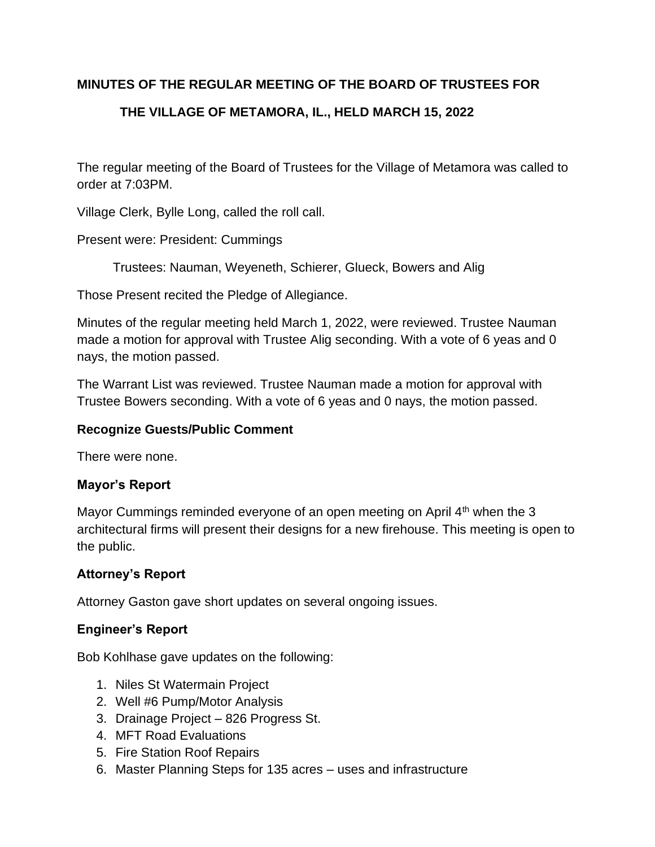# **MINUTES OF THE REGULAR MEETING OF THE BOARD OF TRUSTEES FOR**

# **THE VILLAGE OF METAMORA, IL., HELD MARCH 15, 2022**

The regular meeting of the Board of Trustees for the Village of Metamora was called to order at 7:03PM.

Village Clerk, Bylle Long, called the roll call.

Present were: President: Cummings

Trustees: Nauman, Weyeneth, Schierer, Glueck, Bowers and Alig

Those Present recited the Pledge of Allegiance.

Minutes of the regular meeting held March 1, 2022, were reviewed. Trustee Nauman made a motion for approval with Trustee Alig seconding. With a vote of 6 yeas and 0 nays, the motion passed.

The Warrant List was reviewed. Trustee Nauman made a motion for approval with Trustee Bowers seconding. With a vote of 6 yeas and 0 nays, the motion passed.

#### **Recognize Guests/Public Comment**

There were none.

# **Mayor's Report**

Mayor Cummings reminded everyone of an open meeting on April 4<sup>th</sup> when the 3 architectural firms will present their designs for a new firehouse. This meeting is open to the public.

# **Attorney's Report**

Attorney Gaston gave short updates on several ongoing issues.

# **Engineer's Report**

Bob Kohlhase gave updates on the following:

- 1. Niles St Watermain Project
- 2. Well #6 Pump/Motor Analysis
- 3. Drainage Project 826 Progress St.
- 4. MFT Road Evaluations
- 5. Fire Station Roof Repairs
- 6. Master Planning Steps for 135 acres uses and infrastructure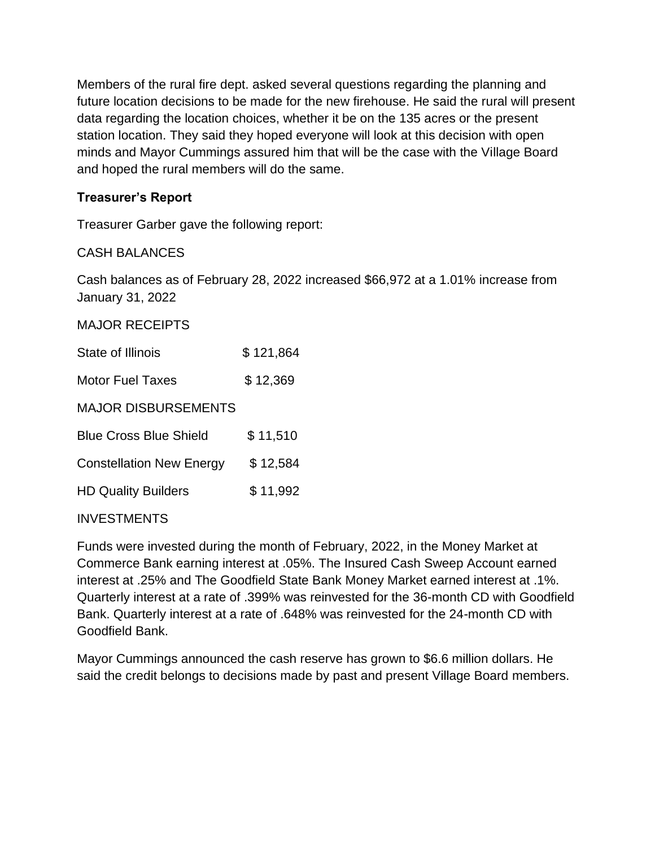Members of the rural fire dept. asked several questions regarding the planning and future location decisions to be made for the new firehouse. He said the rural will present data regarding the location choices, whether it be on the 135 acres or the present station location. They said they hoped everyone will look at this decision with open minds and Mayor Cummings assured him that will be the case with the Village Board and hoped the rural members will do the same.

# **Treasurer's Report**

Treasurer Garber gave the following report:

# CASH BALANCES

Cash balances as of February 28, 2022 increased \$66,972 at a 1.01% increase from January 31, 2022

#### MAJOR RECEIPTS

| <b>State of Illinois</b>        | \$121,864 |
|---------------------------------|-----------|
| Motor Fuel Taxes                | \$12,369  |
| <b>MAJOR DISBURSEMENTS</b>      |           |
| <b>Blue Cross Blue Shield</b>   | \$11,510  |
| <b>Constellation New Energy</b> | \$12,584  |
| <b>HD Quality Builders</b>      | \$11,992  |
|                                 |           |

#### **INVESTMENTS**

Funds were invested during the month of February, 2022, in the Money Market at Commerce Bank earning interest at .05%. The Insured Cash Sweep Account earned interest at .25% and The Goodfield State Bank Money Market earned interest at .1%. Quarterly interest at a rate of .399% was reinvested for the 36-month CD with Goodfield Bank. Quarterly interest at a rate of .648% was reinvested for the 24-month CD with Goodfield Bank.

Mayor Cummings announced the cash reserve has grown to \$6.6 million dollars. He said the credit belongs to decisions made by past and present Village Board members.